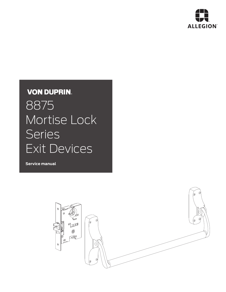

# **VON DUPRIN.**

8875 Mortise Lock Series Exit Devices

**Service manual**

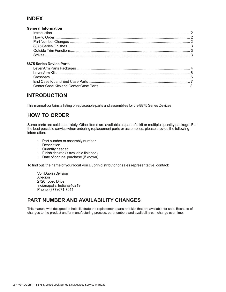### **INDEX**

#### **General Information**

#### **8875 Series Device Parts**

### **INTRODUCTION**

This manual contains a listing of replaceable parts and assemblies for the 8875 Series Devices.

# **HOW TO ORDER**

Some parts are sold separately. Other items are available as part of a kit or multiple quantity package. For the best possible service when ordering replacement parts or assemblies, please provide the following information:

- Part number or assembly number
- Description
- Quantity needed
- Finish desired (if available finished)
- Date of original purchase (if known)

To find out the name of your local Von Duprin distributor or sales representative, contact:

Von Duprin Division Allegion 2720 Tobey Drive Indianapolis, Indiana 46219 Phone: (877) 671-7011

#### **PART NUMBER AND AVAILABILITY CHANGES**

This manual was designed to help illustrate the replacement parts and kits that are available for sale. Because of changes to the product and/or manufacturing process, part numbers and availability can change over time.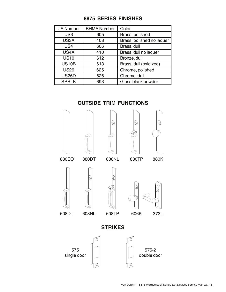### **8875 SERIES FINISHES**

| <b>US Number</b> | <b>BHMA Number</b> | Color                     |
|------------------|--------------------|---------------------------|
| US <sub>3</sub>  | 605                | Brass, polished           |
| US3A             | 408                | Brass, polished no laquer |
| US4              | 606                | Brass, dull               |
| US4A             | 410                | Brass, dull no laquer     |
| <b>US10</b>      | 612                | Bronze, dull              |
| <b>US10B</b>     | 613                | Brass, dull (oxidized)    |
| <b>US26</b>      | 625                | Chrome, polished          |
| <b>US26D</b>     | 626                | Chrome, dull              |
| <b>SPBLK</b>     | 693                | Gloss black powder        |

# **OUTSIDE TRIM FUNCTIONS**

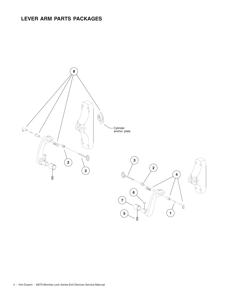# **LEVER ARM PARTS PACKAGES**

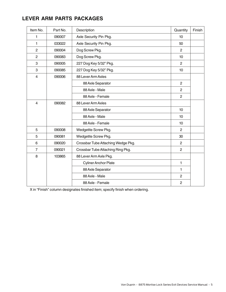# **LEVER ARM PARTS PACKAGES**

| Item No.                | Part No. | Description                        | Quantity       | Finish |
|-------------------------|----------|------------------------------------|----------------|--------|
| 1                       | 090007   | Axle Security Pin Pkg.             | 10             |        |
| 1                       | 033022   | Axle Security Pin Pkg.             | 50             |        |
| $\mathbf{2}$            | 090004   | Dog Screw Pkg.                     | $\mathbf{2}$   |        |
| $\overline{c}$          | 090083   | Dog Screw Pkg.                     | 10             |        |
| 3                       | 090005   | 227 Dog Key 5/32" Pkg.             | $\overline{2}$ |        |
| 3                       | 090085   | 227 Dog Key 5/32" Pkg.             | 10             |        |
| $\overline{\mathbf{4}}$ | 090006   | 88 Lever Arm Axles                 |                |        |
|                         |          | 88 Axle Separator                  | $\overline{c}$ |        |
|                         |          | 88 Axle - Male                     | $\overline{2}$ |        |
|                         |          | 88 Axle - Female                   | $\overline{2}$ |        |
| $\overline{4}$          | 090082   | 88 Lever Arm Axles                 |                |        |
|                         |          | 88 Axle Separator                  | 10             |        |
|                         |          | 88 Axle - Male                     | 10             |        |
|                         |          | 88 Axle - Female                   | 10             |        |
| 5                       | 090008   | Wedgetite Screw Pkg.               | $\overline{2}$ |        |
| 5                       | 090081   | Wedgetite Screw Pkg.               | 30             |        |
| 6                       | 090020   | Crossbar Tube Attaching Wedge Pkg. | $\overline{2}$ |        |
| $\overline{7}$          | 090021   | Crossbar Tube Attaching Ring Pkg.  | $\overline{2}$ |        |
| 8                       | 103865   | 88 Lever Arm Axle Pkg.             |                |        |
|                         |          | <b>Cyliner Anchor Plate</b>        | 1              |        |
|                         |          | 88 Axle Separator                  | 1              |        |
|                         |          | 88 Axle - Male                     | $\mathbf{2}$   |        |
|                         |          | 88 Axle - Female                   | $\overline{2}$ |        |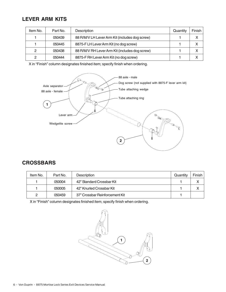### **LEVER ARM KITS**

| Item No. | Part No. | Description                                    | Quantity | Finish |
|----------|----------|------------------------------------------------|----------|--------|
|          | 050439   | 88 R/M/V LH Lever Arm Kit (includes dog screw) |          | X      |
|          | 050445   | 8875-F LH Lever Arm Kit (no dog screw)         |          | x      |
| 2        | 050438   | 88 R/M/V RH Lever Arm Kit (includes dog screw) |          | x      |
| 2        | 050444   | 8875-F RH Lever Arm Kit (no dog screw)         |          | x      |

X in "Finish" column designates finished item; specify finish when ordering.



### **CROSSBARS**

| Item No. | Part No. | Description                    | Quantity | Finish |
|----------|----------|--------------------------------|----------|--------|
|          | 050004   | 42" Standard Crossbar Kit      |          |        |
|          | 050005   | 42" Knurled Crossbar Kit       |          |        |
| 0        | 050459   | 37" Crossbar Reinforcement Kit |          |        |

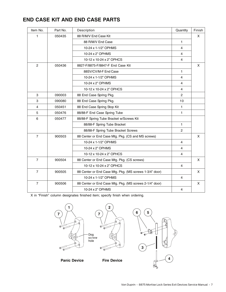# **END CASE KIT AND END CASE PARTS**

| Item No.       | Part No. | Description                                             | Quantity       | Finish |
|----------------|----------|---------------------------------------------------------|----------------|--------|
| 1              | 050435   | 88 R/M/V End Case Kit                                   |                | X      |
|                |          | 88 R/M/V End Case                                       | 1              |        |
|                |          | 10-24 x 1-1/2" OPHMS                                    | $\overline{4}$ |        |
|                |          | 10-24 x 2" OPHMS                                        | $\overline{4}$ |        |
|                |          | 10-12 x 10-24 x 2" OPHCS                                | 4              |        |
| $\overline{2}$ | 050436   | 8827-F/8875-F/8847-F End Case Kit                       |                | X      |
|                |          | 88SV/CV/M-F End Case                                    | 1              |        |
|                |          | 10-24 x 1-1/2" OPHMS                                    | $\overline{4}$ |        |
|                |          | 10-24 x 2" OPHMS                                        | $\overline{4}$ |        |
|                |          | 10-12 x 10-24 x 2" OPHCS                                | $\overline{4}$ |        |
| 3              | 090003   | 88 End Case Spring Pkg.                                 | $\overline{c}$ |        |
| 3              | 090080   | 88 End Case Spring Pkg.                                 | 10             |        |
| 4              | 050451   | 88 End Case Spring Stop Kit                             | 1              |        |
| 5              | 050476   | 88/88-F End Case Spring Tube                            | 1              |        |
| 6              | 050477   | 88/88-F Spring Tube Bracket w/Screws Kit                |                |        |
|                |          | 88/88-F Spring Tube Bracket                             | $\mathbf{1}$   |        |
|                |          | 88/88-F Spring Tube Bracket Screws                      | $\overline{c}$ |        |
| $\overline{7}$ | 900503   | 88 Center or End Case Mtg. Pkg. (CS and MS screws)      |                | X      |
|                |          | 10-24 x 1-1/2" OPHMS                                    | 4              |        |
|                |          | 10-24 x 2" OPHMS                                        | 4              |        |
|                |          | 10-12 x 10-24 x 2" OPHCS                                | $\overline{4}$ |        |
| $\overline{7}$ | 900504   | 88 Center or End Case Mtg. Pkg. (CS screws)             |                | X      |
|                |          | 10-12 x 10-24 x 2" OPHCS                                | $\overline{4}$ |        |
| $\overline{7}$ | 900505   | 88 Center or End Case Mtg. Pkg. (MS screws 1-3/4" door) |                | X      |
|                |          | 10-24 x 1-1/2" OPHMS                                    | 4              |        |
| $\overline{7}$ | 900506   | 88 Center or End Case Mtg. Pkg. (MS screws 2-1/4" door) |                | X      |
|                |          | 10-24 x 2" OPHMS                                        | 4              |        |



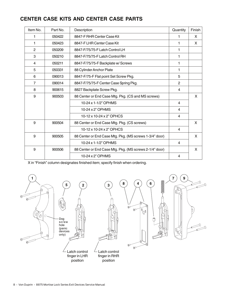# **CENTER CASE KITS AND CENTER CASE PARTS**

| Item No.       | Part No. | Description                                             | Quantity       | Finish |
|----------------|----------|---------------------------------------------------------|----------------|--------|
| 1              | 050422   | 8847-F RHR Center Case Kit                              | 1              | X      |
| 1              | 050423   | 8847-F LHR Center Case Kit                              | 1              | X      |
| $\overline{2}$ | 050209   | 8847-F/75/75-F Latch Control LH                         | 1              |        |
| 3              | 050210   | 8847-F/75/75-F Latch Control RH                         | 1              |        |
| 4              | 050211   | 8847-F/75/75-F Backplate w/ Screws                      | 1              |        |
| 5              | 050331   | 88 Cylinder Anchor Plate                                | 1              |        |
| 6              | 090013   | 8847-F/75-F Flat point Set Screw Pkg.                   | 5              |        |
| $\overline{7}$ | 090014   | 8847-F/75/75-F Center Case Spring Pkg.                  | 2              |        |
| 8              | 900615   | 8827 Backplate Screw Pkg.                               | 4              |        |
| 9              | 900503   | 88 Center or End Case Mtg. Pkg. (CS and MS screws)      |                | X      |
|                |          | 10-24 x 1-1/2" OPHMS                                    | 4              |        |
|                |          | 10-24 x 2" OPHMS                                        | $\overline{4}$ |        |
|                |          | 10-12 x 10-24 x 2" OPHCS                                | 4              |        |
| 9              | 900504   | 88 Center or End Case Mtg. Pkg. (CS screws)             |                | X      |
|                |          | 10-12 x 10-24 x 2" OPHCS                                | 4              |        |
| 9              | 900505   | 88 Center or End Case Mtg. Pkg. (MS screws 1-3/4" door) |                | X      |
|                |          | 10-24 x 1-1/2" OPHMS                                    | 4              |        |
| 9              | 900506   | 88 Center or End Case Mtg. Pkg. (MS screws 2-1/4" door) |                | X      |
|                |          | 10-24 x 2" OPHMS                                        | 4              |        |